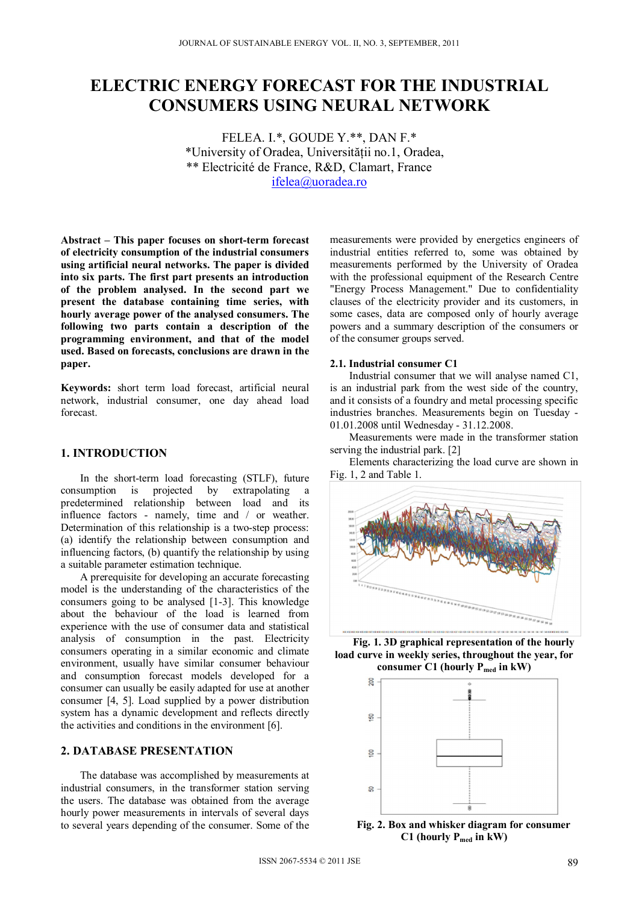# **ELECTRIC ENERGY FORECAST FOR THE INDUSTRIAL CONSUMERS USING NEURAL NETWORK**

FELEA. I.\*, GOUDE Y.\*\*, DAN F.\* \*University of Oradea, Universităţii no.1, Oradea, \*\* Electricité de France, R&D, Clamart, France ifelea@uoradea.ro

**Abstract – This paper focuses on short-term forecast of electricity consumption of the industrial consumers using artificial neural networks. The paper is divided into six parts. The first part presents an introduction of the problem analysed. In the second part we present the database containing time series, with hourly average power of the analysed consumers. The following two parts contain a description of the programming environment, and that of the model used. Based on forecasts, conclusions are drawn in the paper.** 

**Keywords:** short term load forecast, artificial neural network, industrial consumer, one day ahead load forecast.

# **1. INTRODUCTION**

In the short-term load forecasting (STLF), future consumption is projected by extrapolating a predetermined relationship between load and its influence factors - namely, time and / or weather. Determination of this relationship is a two-step process: (a) identify the relationship between consumption and influencing factors, (b) quantify the relationship by using a suitable parameter estimation technique.

A prerequisite for developing an accurate forecasting model is the understanding of the characteristics of the consumers going to be analysed [1-3]. This knowledge about the behaviour of the load is learned from experience with the use of consumer data and statistical analysis of consumption in the past. Electricity consumers operating in a similar economic and climate environment, usually have similar consumer behaviour and consumption forecast models developed for a consumer can usually be easily adapted for use at another consumer [4, 5]. Load supplied by a power distribution system has a dynamic development and reflects directly the activities and conditions in the environment [6].

# **2. DATABASE PRESENTATION**

The database was accomplished by measurements at industrial consumers, in the transformer station serving the users. The database was obtained from the average hourly power measurements in intervals of several days to several years depending of the consumer. Some of the measurements were provided by energetics engineers of industrial entities referred to, some was obtained by measurements performed by the University of Oradea with the professional equipment of the Research Centre "Energy Process Management." Due to confidentiality clauses of the electricity provider and its customers, in some cases, data are composed only of hourly average powers and a summary description of the consumers or of the consumer groups served.

#### **2.1. Industrial consumer C1**

Industrial consumer that we will analyse named C1, is an industrial park from the west side of the country, and it consists of a foundry and metal processing specific industries branches. Measurements begin on Tuesday - 01.01.2008 until Wednesday - 31.12.2008.

Measurements were made in the transformer station serving the industrial park. [2]

Elements characterizing the load curve are shown in Fig. 1, 2 and Table 1.



**Fig. 1. 3D graphical representation of the hourly load curve in weekly series, throughout the year, for**  consumer C1 (hourly P<sub>med</sub> in kW)



**Fig. 2. Box and whisker diagram for consumer C1 (hourly Pmed in kW)**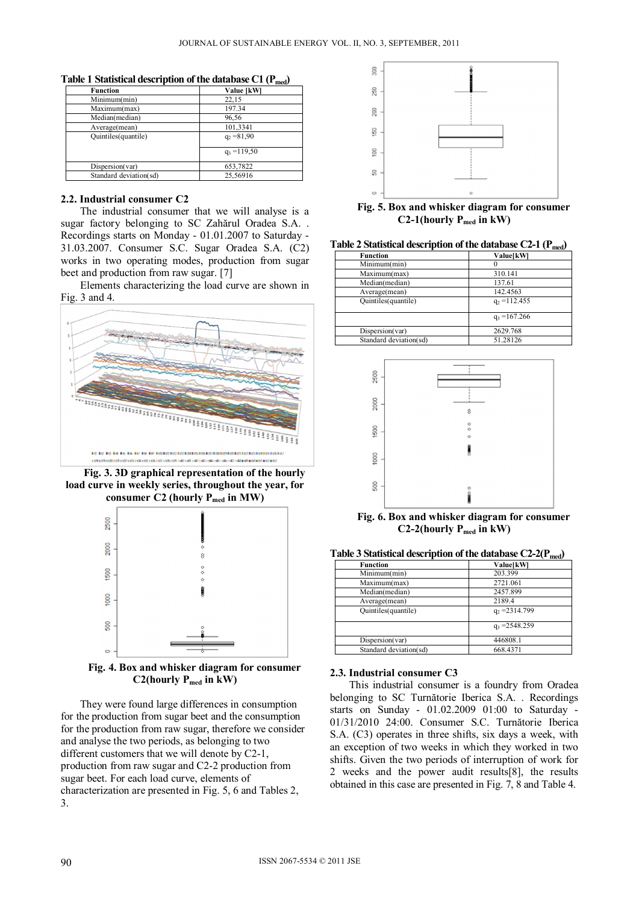| <b>Function</b><br>Value [kW] |                |  |
|-------------------------------|----------------|--|
| Minimum(min)                  | 22,15          |  |
| Maximum(max)                  | 197.34         |  |
| Median(median)                | 96,56          |  |
| Average(mean)                 | 101,3341       |  |
| Quintiles (quantile)          | $q_2 = 81.90$  |  |
|                               | $q_3 = 119,50$ |  |
| Dispersion(var)               | 653,7822       |  |
| Standard deviation(sd)        | 25.56916       |  |

**Table 1 Statistical description of the database C1 (Pmed)** 

### **2.2. Industrial consumer C2**

The industrial consumer that we will analyse is a sugar factory belonging to SC Zahărul Oradea S.A. . Recordings starts on Monday - 01.01.2007 to Saturday - 31.03.2007. Consumer S.C. Sugar Oradea S.A. (C2) works in two operating modes, production from sugar beet and production from raw sugar. [7]

Elements characterizing the load curve are shown in Fig. 3 and 4.



**Fig. 3. 3D graphical representation of the hourly load curve in weekly series, throughout the year, for**  consumer C2 (hourly P<sub>med</sub> in MW)



**Fig. 4. Box and whisker diagram for consumer C2(hourly Pmed in kW)** 

They were found large differences in consumption for the production from sugar beet and the consumption for the production from raw sugar, therefore we consider and analyse the two periods, as belonging to two different customers that we will denote by C2-1, production from raw sugar and C2-2 production from sugar beet. For each load curve, elements of characterization are presented in Fig. 5, 6 and Tables 2, 3.



**Fig. 5. Box and whisker diagram for consumer C2-1(hourly Pmed in kW)** 

**Table 2 Statistical description of the database C2-1 (Pmed)** 

| <b>Function</b>        | Value[kW]       |
|------------------------|-----------------|
| Minimum(min)           |                 |
| Maximum(max)           | 310.141         |
| Median(median)         | 137.61          |
| Average(mean)          | 142.4563        |
| Quintiles(quantile)    | $q_2$ = 112.455 |
|                        | $q_3 = 167.266$ |
| Dispersion(var)        | 2629.768        |
| Standard deviation(sd) | 51.28126        |



**Fig. 6. Box and whisker diagram for consumer C2-2(hourly Pmed in kW)** 

| Table 3 Statistical description of the database $C2-2(P_{med})$ |  |
|-----------------------------------------------------------------|--|
|-----------------------------------------------------------------|--|

| <b>Function</b>        | Value[kW]        |
|------------------------|------------------|
| Minimum(min)           | 203.399          |
| Maximum(max)           | 2721.061         |
| Median(median)         | 2457.899         |
| Average(mean)          | 2189.4           |
| Quintiles(quantile)    | $q_2 = 2314.799$ |
|                        | $q_3 = 2548.259$ |
| Dispersion(var)        | 446808.1         |
| Standard deviation(sd) | 668.4371         |

### **2.3. Industrial consumer C3**

This industrial consumer is a foundry from Oradea belonging to SC Turnătorie Iberica S.A. . Recordings starts on Sunday - 01.02.2009 01:00 to Saturday - 01/31/2010 24:00. Consumer S.C. Turnătorie Iberica S.A. (C3) operates in three shifts, six days a week, with an exception of two weeks in which they worked in two shifts. Given the two periods of interruption of work for 2 weeks and the power audit results[8], the results obtained in this case are presented in Fig. 7, 8 and Table 4.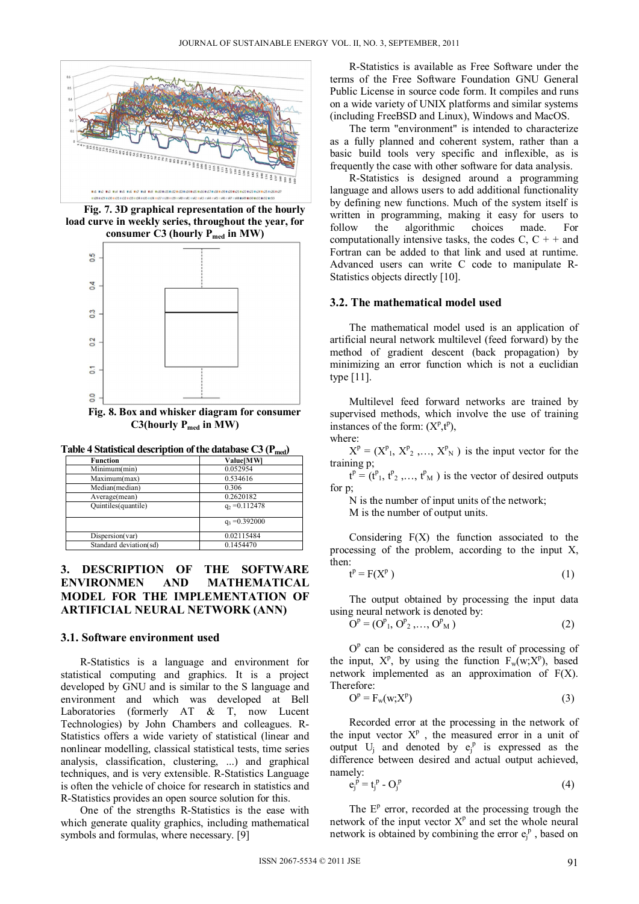

**Fig. 7. 3D graphical representation of the hourly load curve in weekly series, throughout the year, for consumer C3 (hourly Pmed in MW)** 



**Fig. 8. Box and whisker diagram for consumer**  C3(hourly P<sub>med</sub> in MW)

**Table 4 Statistical description of the database C3 (Pmed)** 

| <b>Function</b>        | Value[MW]        |
|------------------------|------------------|
| Minimum(min)           | 0.052954         |
| Maximum(max)           | 0.534616         |
| Median(median)         | 0.306            |
| Average(mean)          | 0.2620182        |
| Quintiles(quantile)    | $q_2 = 0.112478$ |
|                        | $q_3 = 0.392000$ |
| Dispersion(var)        | 0.02115484       |
| Standard deviation(sd) | 0.1454470        |

# **3. DESCRIPTION OF THE SOFTWARE ENVIRONMEN AND MATHEMATICAL MODEL FOR THE IMPLEMENTATION OF ARTIFICIAL NEURAL NETWORK (ANN)**

#### **3.1. Software environment used**

R-Statistics is a language and environment for statistical computing and graphics. It is a project developed by GNU and is similar to the S language and environment and which was developed at Bell Laboratories (formerly AT & T, now Lucent Technologies) by John Chambers and colleagues. R-Statistics offers a wide variety of statistical (linear and nonlinear modelling, classical statistical tests, time series analysis, classification, clustering, ...) and graphical techniques, and is very extensible. R-Statistics Language is often the vehicle of choice for research in statistics and R-Statistics provides an open source solution for this.

One of the strengths R-Statistics is the ease with which generate quality graphics, including mathematical symbols and formulas, where necessary. [9]

R-Statistics is available as Free Software under the terms of the Free Software Foundation GNU General Public License in source code form. It compiles and runs on a wide variety of UNIX platforms and similar systems (including FreeBSD and Linux), Windows and MacOS.

The term "environment" is intended to characterize as a fully planned and coherent system, rather than a basic build tools very specific and inflexible, as is frequently the case with other software for data analysis.

R-Statistics is designed around a programming language and allows users to add additional functionality by defining new functions. Much of the system itself is written in programming, making it easy for users to follow the algorithmic choices made. For computationally intensive tasks, the codes  $C, C + +$  and Fortran can be added to that link and used at runtime. Advanced users can write C code to manipulate R-Statistics objects directly [10].

### **3.2. The mathematical model used**

The mathematical model used is an application of artificial neural network multilevel (feed forward) by the method of gradient descent (back propagation) by minimizing an error function which is not a euclidian type [11].

Multilevel feed forward networks are trained by supervised methods, which involve the use of training instances of the form:  $(X^p,t^p)$ , where:

 $X^p = (X^p_1, X^p_2, ..., X^p_N)$  is the input vector for the training p;

 $t^p = (t^p_1, t^p_2, ..., t^p_M)$  is the vector of desired outputs for p;

N is the number of input units of the network;

M is the number of output units.

Considering  $F(X)$  the function associated to the processing of the problem, according to the input X, then:

$$
t^p = F(X^p)
$$
 (1)

The output obtained by processing the input data using neural network is denoted by:

$$
Op = (Op1, Op2, ..., OpM)
$$
 (2)

 $O<sup>p</sup>$  can be considered as the result of processing of the input,  $X^p$ , by using the function  $F_w(w; X^p)$ , based network implemented as an approximation of F(X). Therefore:

$$
Op = Fw(w;Xp)
$$
 (3)

Recorded error at the processing in the network of the input vector  $X^p$ , the measured error in a unit of output  $U_j$  and denoted by  $e_j^p$  is expressed as the difference between desired and actual output achieved, namely:

$$
e_j^{\bar{p}} = t_j^{\bar{p}} - O_j^{\bar{p}} \tag{4}
$$

The  $E<sup>p</sup>$  error, recorded at the processing trough the network of the input vector  $X<sup>p</sup>$  and set the whole neural network is obtained by combining the error  $e_j^p$ , based on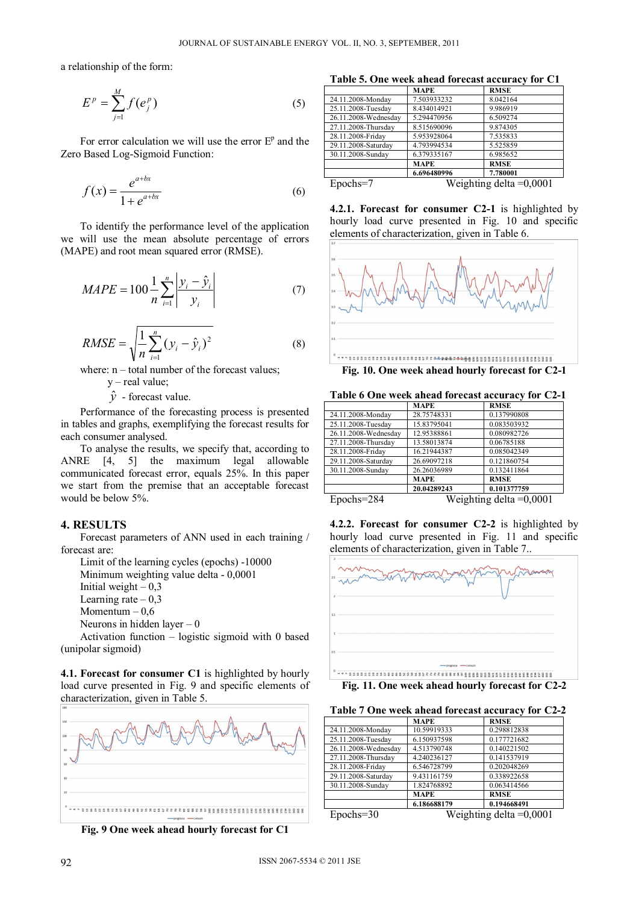a relationship of the form:

$$
E^p = \sum_{j=1}^M f(e_j^p) \tag{5}
$$

For error calculation we will use the error  $E<sup>p</sup>$  and the Zero Based Log-Sigmoid Function:

$$
f(x) = \frac{e^{a+bx}}{1+e^{a+bx}}
$$
 (6)

To identify the performance level of the application we will use the mean absolute percentage of errors (MAPE) and root mean squared error (RMSE).

$$
MAPE = 100 \frac{1}{n} \sum_{i=1}^{n} \left| \frac{y_i - \hat{y}_i}{y_i} \right| \tag{7}
$$

$$
RMSE = \sqrt{\frac{1}{n} \sum_{i=1}^{n} (y_i - \hat{y}_i)^2}
$$
 (8)

where:  $n - total$  number of the forecast values;

 $y$  – real value;

 $\hat{v}$  - forecast value.

Performance of the forecasting process is presented in tables and graphs, exemplifying the forecast results for each consumer analysed.

To analyse the results, we specify that, according to ANRE [4, 5] the maximum legal allowable communicated forecast error, equals 25%. In this paper we start from the premise that an acceptable forecast would be below 5%.

### **4. RESULTS**

Forecast parameters of ANN used in each training / forecast are:

Limit of the learning cycles (epochs) -10000

Minimum weighting value delta - 0,0001

Initial weight  $-0.3$ 

Learning rate  $-0.3$ 

Momentum  $-0.6$ 

Neurons in hidden layer  $-0$ 

Activation function – logistic sigmoid with 0 based (unipolar sigmoid)

**4.1. Forecast for consumer C1** is highlighted by hourly load curve presented in Fig. 9 and specific elements of characterization, given in Table 5.



**Fig. 9 One week ahead hourly forecast for C1** 

**Table 5. One week ahead forecast accuracy for C1** 

|                      | <b>MAPE</b>               | <b>RMSE</b> |
|----------------------|---------------------------|-------------|
| 24.11.2008-Monday    | 7.503933232               | 8.042164    |
| 25.11.2008-Tuesday   | 8.434014921               | 9.986919    |
| 26.11.2008-Wednesday | 5.294470956               | 6.509274    |
| 27.11.2008-Thursday  | 8.515690096               | 9.874305    |
| 28.11.2008-Friday    | 5.953928064               | 7.535833    |
| 29.11.2008-Saturday  | 4.793994534               | 5.525859    |
| 30.11.2008-Sunday    | 6.379335167               | 6.985652    |
|                      | MAPE                      | <b>RMSE</b> |
|                      | 6.696480996               | 7.780001    |
| Epochs=7             | Weighting delta $=0,0001$ |             |

**4.2.1. Forecast for consumer C2-1** is highlighted by hourly load curve presented in Fig. 10 and specific elements of characterization, given in Table 6.



| Table 6 One week ahead forecast accuracy for C2-1 |  |  |
|---------------------------------------------------|--|--|
|                                                   |  |  |

|                      | <b>MAPE</b> | <b>RMSE</b> |
|----------------------|-------------|-------------|
| 24.11.2008-Monday    | 28.75748331 | 0.137990808 |
| 25.11.2008-Tuesday   | 15.83795041 | 0.083503932 |
| 26.11.2008-Wednesday | 12.95388861 | 0.080982726 |
| 27.11.2008-Thursday  | 13.58013874 | 0.06785188  |
| 28.11.2008-Friday    | 16.21944387 | 0.085042349 |
| 29.11.2008-Saturday  | 26.69097218 | 0.121860754 |
| 30.11.2008-Sunday    | 26.26036989 | 0.132411864 |
|                      | <b>MAPE</b> | <b>RMSE</b> |
|                      | 20.04289243 | 0.101377759 |

Epochs=284 Weighting delta =0,0001





**Fig. 11. One week ahead hourly forecast for C2-2** 

| Table 7 One week ahead forecast accuracy for C2-2 |  |  |
|---------------------------------------------------|--|--|
|                                                   |  |  |

|                      | <b>MAPE</b>               | <b>RMSE</b> |
|----------------------|---------------------------|-------------|
| 24.11.2008-Monday    | 10.59919333               | 0.298812838 |
| 25.11.2008-Tuesday   | 6.150937598               | 0.177721682 |
| 26.11.2008-Wednesday | 4.513790748               | 0.140221502 |
| 27.11.2008-Thursday  | 4.240236127               | 0.141537919 |
| 28.11.2008-Friday    | 6.546728799               | 0.202048269 |
| 29.11.2008-Saturday  | 9.431161759               | 0.338922658 |
| 30.11.2008-Sunday    | 1.824768892               | 0.063414566 |
|                      | MAPE                      | <b>RMSE</b> |
|                      | 6.186688179               | 0.194668491 |
| $Epochs = 30$        | Weighting delta $=0,0001$ |             |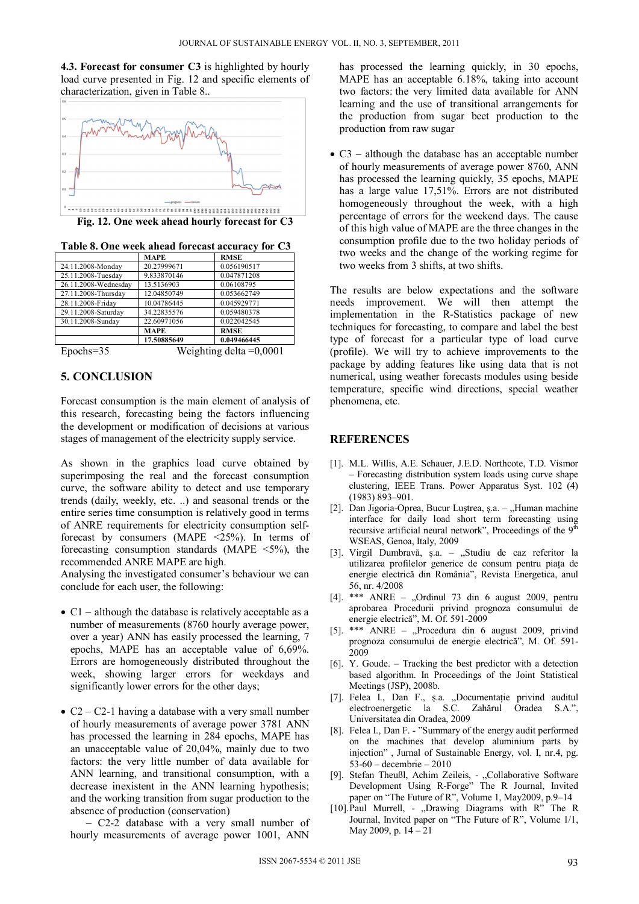**4.3. Forecast for consumer C3** is highlighted by hourly load curve presented in Fig. 12 and specific elements of characterization, given in Table 8..



**Fig. 12. One week ahead hourly forecast for C3** 

**Table 8. One week ahead forecast accuracy for C3** 

|                      | <b>MAPE</b> | <b>RMSE</b> |
|----------------------|-------------|-------------|
| 24.11.2008-Monday    | 20.27999671 | 0.056190517 |
| 25.11.2008-Tuesday   | 9.833870146 | 0.047871208 |
| 26.11.2008-Wednesday | 13.5136903  | 0.06108795  |
| 27.11.2008-Thursday  | 12.04850749 | 0.053662749 |
| 28.11.2008-Friday    | 10.04786445 | 0.045929771 |
| 29.11.2008-Saturday  | 34.22835576 | 0.059480378 |
| 30.11.2008-Sunday    | 22.60971056 | 0.022042545 |
|                      | <b>MAPE</b> | <b>RMSE</b> |
|                      | 17.50885649 | 0.049466445 |

Epochs=35 Weighting delta =0,0001

# **5. CONCLUSION**

Forecast consumption is the main element of analysis of this research, forecasting being the factors influencing the development or modification of decisions at various stages of management of the electricity supply service.

As shown in the graphics load curve obtained by superimposing the real and the forecast consumption curve, the software ability to detect and use temporary trends (daily, weekly, etc. ..) and seasonal trends or the entire series time consumption is relatively good in terms of ANRE requirements for electricity consumption selfforecast by consumers (MAPE <25%). In terms of forecasting consumption standards (MAPE  $\leq$ 5%), the recommended ANRE MAPE are high.

Analysing the investigated consumer's behaviour we can conclude for each user, the following:

- $\bullet$  C1 although the database is relatively acceptable as a number of measurements (8760 hourly average power, over a year) ANN has easily processed the learning, 7 epochs, MAPE has an acceptable value of 6,69%. Errors are homogeneously distributed throughout the week, showing larger errors for weekdays and significantly lower errors for the other days;
- $C2 C2-1$  having a database with a very small number of hourly measurements of average power 3781 ANN has processed the learning in 284 epochs, MAPE has an unacceptable value of 20,04%, mainly due to two factors: the very little number of data available for ANN learning, and transitional consumption, with a decrease inexistent in the ANN learning hypothesis; and the working transition from sugar production to the absence of production (conservation)

 – C2-2 database with a very small number of hourly measurements of average power 1001, ANN

has processed the learning quickly, in 30 epochs, MAPE has an acceptable 6.18%, taking into account two factors: the very limited data available for ANN learning and the use of transitional arrangements for the production from sugar beet production to the production from raw sugar

• C3 – although the database has an acceptable number of hourly measurements of average power 8760, ANN has processed the learning quickly, 35 epochs, MAPE has a large value 17,51%. Errors are not distributed homogeneously throughout the week, with a high percentage of errors for the weekend days. The cause of this high value of MAPE are the three changes in the consumption profile due to the two holiday periods of two weeks and the change of the working regime for two weeks from 3 shifts, at two shifts.

The results are below expectations and the software needs improvement. We will then attempt the implementation in the R-Statistics package of new techniques for forecasting, to compare and label the best type of forecast for a particular type of load curve (profile). We will try to achieve improvements to the package by adding features like using data that is not numerical, using weather forecasts modules using beside temperature, specific wind directions, special weather phenomena, etc.

# **REFERENCES**

- [1]. M.L. Willis, A.E. Schauer, J.E.D. Northcote, T.D. Vismor – Forecasting distribution system loads using curve shape clustering, IEEE Trans. Power Apparatus Syst. 102 (4) (1983) 893–901.
- [2]. Dan Jigoria-Oprea, Bucur Luștrea, ș.a.  $-$  "Human machine interface for daily load short term forecasting using recursive artificial neural network", Proceedings of the  $9<sup>th</sup>$ WSEAS, Genoa, Italy, 2009
- [3]. Virgil Dumbravă, ș.a. "Studiu de caz referitor la utilizarea profilelor generice de consum pentru piaţa de energie electrică din România", Revista Energetica, anul 56, nr. 4/2008
- [4].  $***$  ANRE "Ordinul 73 din 6 august 2009, pentru aprobarea Procedurii privind prognoza consumului de energie electrică", M. Of. 591-2009
- [5]. \*\*\* ANRE "Procedura din 6 august 2009, privind prognoza consumului de energie electrică", M. Of. 591- 2009
- [6]. Y. Goude. Tracking the best predictor with a detection based algorithm. In Proceedings of the Joint Statistical Meetings (JSP), 2008b.
- [7]. Felea I., Dan F., ş.a. "Documentaţie privind auditul electroenergetic la S.C. Zahărul Oradea S.A.", Universitatea din Oradea, 2009
- [8]. Felea I., Dan F. "Summary of the energy audit performed on the machines that develop aluminium parts by injection" , Jurnal of Sustainable Energy, vol. I, nr.4, pg. 53-60 – decembrie – 2010
- [9]. Stefan Theußl, Achim Zeileis, "Collaborative Software Development Using R-Forge" The R Journal, Invited paper on "The Future of R", Volume 1, May2009, p.9–14
- [10].Paul Murrell, "Drawing Diagrams with R" The R Journal, Invited paper on "The Future of R", Volume 1/1, May 2009, p. 14 – 21